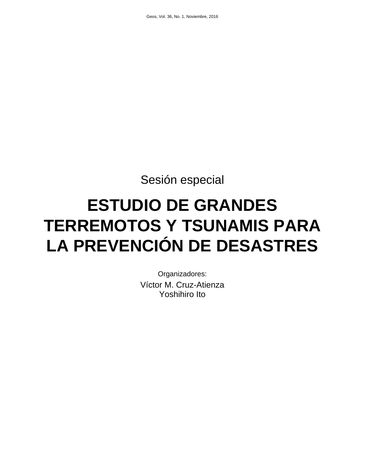Sesión especial

# **ESTUDIO DE GRANDES TERREMOTOS Y TSUNAMIS PARA LA PREVENCIÓN DE DESASTRES**

Organizadores: Víctor M. Cruz-Atienza Yoshihiro Ito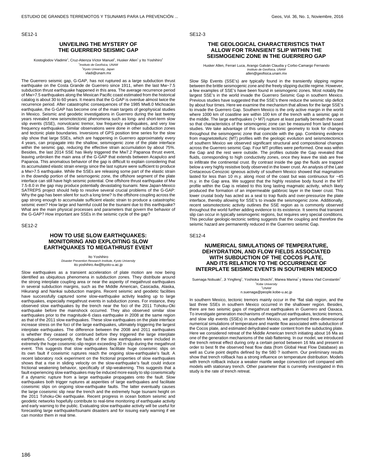SE12-1

#### **UNVEILING THE MYSTERY OF THE GUERRERO SEISMIC GAP**

Kostoglodov Vladimir<sup>1</sup>, Cruz-Atienza Víctor Manuel<sup>1</sup>, Husker Allen<sup>1</sup> y Ito Yoshihiro<sup>2</sup>

1 Instituto de Geofísica, UNAM <sup>2</sup>Kyoto University, Japan

vladi@unam.mx

The Guerrero seismic gap, G-GAP, has not ruptured as a large subduction thrust earthquake on the Costa Grande de Guerrero since 1911, when the last Mw~7.5 subduction thrust earthquake happened in this area. The average recurrence period of Mw>7.5 earthquakes along the Mexican Pacific coast estimated from the historical catalog is about 30 to 60 years. It means that the G-GAP is overdue almost twice the recurrence period. After catastrophic consequences of the 1985 Mw8.0 Michoacán earthquake, the G-GAP has become one of the main targets of geophysical studies in Mexico. Seismic and geodetic investigations in Guerrero during the last twenty years revealed new seismotectonic phenomena such as long- and short-term slow slip events (SSE), nonvolcanic tremor, low frequency earthquakes, and very low frequency earthquakes. Similar observations were done in other subduction zones and tectonic plate boundaries. Inversions of GPS position time series for the slow slip show that large SSEs, which are happening in Guerrero approximately every 4 years, can propagate into the shallow, seismogenic zone of the plate interface within the seismic gap, reducing the effective strain accumulation by about 75%. Besides, the last 2014 SSE has likely triggered the Mw7.2 Papanoa thrust event, leaving unbroken the main area of the G-GAP that extends between Acapulco and Papanoa. This anomalous behavior of the gap is difficult to explain considering that its accumulated elastic strain energy since the last rupture were sufficient to produce a Mw>7.5 earthquake. While the SSEs are releasing some part of the elastic strain in the downdip portion of the seismogenic zone, the offshore segment of the plate interface can still have high seismic potential. One offshore thrust earthquake of Mw 7.5-8.0 in the gap may produce potentially devastating tsunami. New Japan-Mexico SATREPS project should help to resolve several crucial problems of the G-GAP: Why the gap has been silent for such a long time? Is the offshore coupling across the gap strong enough to accumulate sufficient elastic strain to produce a catastrophic seismic even? How large and harmful could be the tsunami due to this earthquake? What are the main physical processes and parameters that govern the behavior of the G-GAP? How important are SSEs in the seismic cycle of the gap?

SE12-2

## **HOW TO USE SLOW EARTHQUAKES: MONITORING AND EXPLOITING SLOW EARTHQUAKES TO MEGATHRUST EVENT**

Ito Yoshihiro Disaster Prevention Research Institute, Kyoto University ito.yoshihiro.4w@kyoto-u.ac.jp

Slow earthquakes as a transient acceleration of plate motion are now being identified as ubiquitous phenomena in subduction zones. They distribute around the strong interplate coupling area or near the asperity of megathrust earthquakes in several subduction margins, such as the Middle American, Casicadia, Alaska, Hikurangi and Nankai subduction margins. Recent seismic and geodetic facilities have successfully captured some slow-earthquake activity leading up to large earthquakes, especially megathrust events in subduction zones. For instance, they observed slow earthquakes by the trench near the foci of the 2011 Tohoku-Oki earthquake before the mainshock occurred. They also observed similar slow earthquakes prior to the magnitude-6 class earthquake in 2008 at the same region as that of the 2011 slow earthquakes. These slow earthquakes on the plate interface increase stress on the foci of the large earthquakes, ultimately triggering the largest interplate earthquakes. The difference between the 2008 and 2011 earthquakes is whether they ceased or continued before they triggered the large interplate earthquakes. Consequently, the faults of the slow earthquakes were included in extremely the huge coseismic-slip region exceeding 30 m slip during the megathrust event. This suggests that slow earthquakes facilitate huge coseismic slips on its own fault if coseismic ruptures reach the ongoing slow-earthquake's fault. A recent laboratory rock experiment on the frictional properties of slow earthquakes shows that a rise in sliding velocity on the slow-earthquake's fault could induce frictional weakening behavior, specifically of slip-weakening. This suggests that a fault experiencing slow earthquakes may be induced more easily to slip coseismically if a dynamic rupture from a large earthquake propagates onto the fault. Slow earthquakes both trigger ruptures at asperities of large earthquakes and facilitate coseismic slips on ongoing slow-earthquake faults. The latter eventually causes the large coseismic slip near the trench and the extremely huge tsunami height on the 2011 Tohoku-Oki earthquake. Recent progress in ocean bottom seismic and geodetic networks hopefully contribute to real-time monitoring of earthquake activity and early warning to the public. Evaluating slow earthquake activity will be useful for forecasting large earthquake/tsunami disasters and for issuing early warning if we can monitor them in real time.

SE12-3

# **THE GEOLOGICAL CHARACTERISTICS THAT ALLOW FOR TRANSIENT SLIP WITHIN THE SEISMOGENIC ZONE IN THE GUERRERO GAP**

Husker Allen, Ferrari Luca, Arango Galván Claudia y Corbo-Camargo Fernando Instituto de Geofísica, UNAM allen@geofisica.unam.mx

Slow Slip Events (SSE's) are typically found in the transiently slipping regime between the brittle seismogenic zone and the freely slipping ductile regime. However, a few examples of SSE's have been found in seismogenic zones. Most notably the largest SSE's in the world invade the Guerrero Seismic Gap in southern Mexico. Previous studies have suggested that the SSE's there reduce the seismic slip deficit by about four times. Here we examine the mechanism that allows for the large SSE's to invade the Guerrero Gap. Southern Mexico is the only active margin in the world where 1000 km of coastline are within 100 km of the trench with a seismic gap in the middle. The large earthquakes (> M7) rupture at least partially beneath the coast so that characteristics of the seismogenic zone can be measured from land based studies. We take advantage of this unique tectonic geometry to look for changes throughout the seismogenic zone that coincide with the gap. Combining evidence from magnetotelluric (MT) profiles with the geologic evolution and seismotectonics of southern Mexico we observed significant structural and compositional changes across the Guerrero seismic Gap. Four MT profiles were performed. One was within the Gap and the rest were outside. The profiles outside the Gap revealed that fluids, corresponding to high conductivity zones, once they leave the slab are free to infiltrate the continental crust. By contrast inside the gap the fluids are trapped below a very highly resistive body observed in the lower crust. An analysis of the Late Cretaceous-Cenozoic igneous activity of southern Mexico showed that magmatism lasted for less than 10 m.y. along most of the coast but was continuous for  $~145$ m.y. in the Gap area. We suggest that the highly resistive body found in the MT profile within the Gap is related to this long lasting magmatic activity, which likely produced the formation of an impermeable gabbroic layer in the lower crust. This lower crustal body has acted as a seal to trap fluids and over-pressurize the plate interface, thereby allowing for SSE's to invade the seismogenic zone. Additionally, recent seismotectonic activity outlines the SSE region as is commonly observed throughout the world further adding evidence to its existence. It seems that transient slip can occur in typically seismogenic regions, but requires very special conditions. This peculiar geologic-tectonic setting suggests that the coupling and therefore the seismic hazard are permanently reduced in the Guerrero seismic Gap.

SE12-4

#### **NUMERICAL SIMULATIONS OF TEMPERATURE, DEHYDRATION, AND FLOW FIELDS ASSOCIATED WITH SUBDUCTION OF THE COCOS PLATE, AND ITS RELATION TO THE OCCURRENCE OF INTERPLATE SEISMIC EVENTS IN SOUTHERN MEXICO**

Suenaga Nobuaki<sup>1</sup>, Ji Yingfeng<sup>1</sup>, Yoshioka Shoichi<sup>1</sup>, Manea Marina $^2$  y Manea Vlad Constantin $^2$ <sup>1</sup>Kobe University

 $2$ *UNAM* n.suenaga@people.kobe-u.ac.jp

In southern Mexico, tectonic tremors mainly occur in the "flat slab region, and the last three SSEs in southern Mexico occurred in the shallower region. Besides, there are two seismic gaps of megathrust earthquakes in Guerrero and Oaxaca. To investigate generation mechanisms of megathrust earthquakes, tectonic tremors, and slow slip events (SSEs) in southern Mexico, we performed three-dimensional numerical simulations of temperature and mantle flow associated with subduction of the Cocos plate, and estimated dehydrated water content from the subducting plate. Here we considered retreat of the Middle American trench initiating about 16 Ma as one of the generation mechanisms of the slab flattening. In our model, we introduced the trench retreat effect during only a certain period between 16 Ma and present in order to best fit the observed heat flow data (from Global Heat Flow Database) as well as Curie point depths defined by the 580 ? isotherm. Our preliminary results show that trench rollback has a strong influence on temperature distribution. Models with trench rollback induce a weaker mantle wedge convection cell compared with models with stationary trench. Other parameter that is currently investigated in this study is the rate of trench retreat.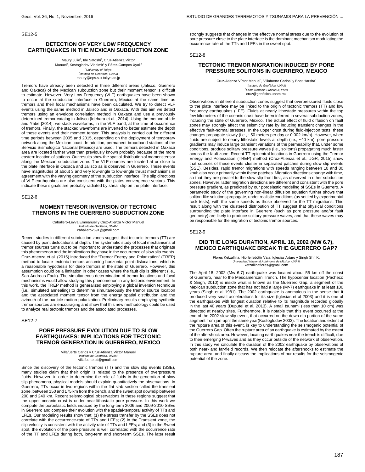SE12-5

#### **DETECTION OF VERY LOW FREQUENCY EARTHQUAKES IN THE MEXICAN SUBDUCTION ZONE**

Maury Julie<sup>1</sup>, Ide Satoshi<sup>1</sup>, Cruz-Atienza Víctor Manuel<sup>2</sup>, Kostoglodov Vladimir<sup>2</sup> y Pérez-Campos Xyoli<sup>2</sup> <sup>1</sup>University of Tokyo 2 Instituto de Geofísica, UNAM maury@eps.s.u-tokyo.ac.jp

Tremors have already been detected in three different areas (Jalisco, Guerrero and Oaxaca) of the Mexican subduction zone but their moment tensor is difficult to estimate. However, Very Low Frequency (VLF) earthquakes have been shown to occur at the subduction interface in Guerrero, Mexico at the same time as tremors and their focal mechanisms have been calculated. We try to detect VLF events using the same method in Jalisco and in Oaxaca. With this aim we detect tremors using an envelope correlation method in Oaxaca and use a previously determined tremor catalog in Jalisco [Idehara et al., 2014]. Using the method of Ide and Yabe [2014], we stack waveforms, in the VLF band, at the time of occurrence of tremors. Finally, the stacked waveforms are inverted to better estimate the depth of these events and their moment tensor. This analysis is carried out for different time periods between 2005 and 2015, depending on the deployment of temporary network along the Mexican coast. In addition, permanent broadband stations of the Servicio Sismológico Nacional (Mexico) are used. The tremors detected in Oaxaca area are located farther west than previously known probably because of the more eastern location of stations. Our results show the spatial distribution of moment tensor along the Mexican subduction zone. The VLF sources are located at or close to the plate interface in Oaxaca and Jalisco as is observed in Guerrero. These events have magnitudes of about 3 and very low-angle to low-angle thrust mechanisms in agreement with the varying geometry of the subduction interface. The slip directions of VLF earthquakes are also consistent with the plates convergence vectors. This indicate these signals are probably radiated by shear slip on the plate interface.

SE12-6

# **MOMENT TENSOR INVERSION OF TECTONIC TREMORS IN THE GUERRERO SUBDUCTION ZONE**

Caballero-Leyva Emmanuel y Cruz-Atienza Víctor Manuel Instituto de Geofísica, UNAM caballero2691@gmail.com

Recent studies in different subduction zones suggest that tectonic tremors (TT) are caused by point dislocations at depth. The systematic study of focal mechanisms of tremor sources turns out to be important to understand the processes that originate this phenomenon and the implications they have in the occurrence of slow slip events. Cruz-Atienza et al. (2015) introduced the "Tremor Energy and Polarization" (TREP) method to locate tectonic tremors assuming horizontal point dislocations, which is a reasonable hypothesis for deep tremors in the state of Guerrero. However, this assumption could be a limitation in other cases where the fault dip is different (i.e., San Andreas Fault). The simultaneous determination of tremor locations and focal mechanisms would allow studying this phenomenon in any tectonic environment. In this work, the TREP method is generalized employing a global inversion technique (i.e., simulated annealing) to determine simultaneously the tremor source location and the associated moment tensor from the energy spatial distribution and the azimuth of the particle motion polarization. Preliminary results employing synthetic tremor sources are encouraging and show that this new methodology could be used to analyze real tectonic tremors and the associated processes.

SE12-7

# **PORE PRESSURE EVOLUTION DUE TO SLOW EARTHQUAKES: IMPLICATIONS FOR TECTONIC TREMOR GENERATION IN GUERRERO, MEXICO**

Villafuerte Carlos y Cruz-Atienza Víctor Manuel Instituto de Geofísica, UNAM villafuerte.cd@gmail.com

Since the discovery of the tectonic tremors (TT) and the slow slip events (SSE), many studies claim that their origin is related to the presence of overpressure fluids. However, in order to determine the role of fluids in the generation of slow slip phenomena, physical models should explain quantitatively the observations. In Guerrero, TTs occur in two regions within the flat slab section called the transient zone, between 150 and 175 km from the trench, and the sweet spot downdip between 200 and 240 km. Recent seismological observations in these regions suggest that the upper oceanic crust is under near-lithostatic pore pressure. In this work we compute the poroelastic fields induced by the long-term 2006 and 2009-2010 SSEs in Guerrero and compare their evolution with the spatial-temporal activity of TTs and LFEs. Our modeling results show that: (1) the stress transfer by the SSEs does not correlate with the occurrence-rate of TTs and LFEs; (2) in the Transient zone, the slip velocity is consistent with the activity rate of TTs and LFEs; and (3) in the Sweet spot, the evolution of the pore pressure is well correlated with the occurrence rate of the TT and LFEs during both, long-term and short-term SSEs. The later result

strongly suggests that changes in the effective normal stress due to the evolution of pore pressure close to the plate interface is the dominant mechanism modulating the occurrence-rate of the TTs and LFEs in the sweet spot.

SE12-8

#### **TECTONIC TREMOR MIGRATION INDUCED BY PORE PRESSURE SOLITONS IN GUERRERO, MEXICO**

Cruz-Atienza Víctor Manuel<sup>1</sup>, Villafuerte Carlos<sup>1</sup> y Bhat Harsha<sup>2</sup> 1 Instituto de Geofísica, UNAM 2 Ecole Normale Superieur, Paris cruz@geofisica.unam.mx

Observations in different subduction zones suggest that overpressured fluids close to the plate interface may be linked to the origin of tectonic tremors (TT) and low frequency earthquakes (LFE). Fluids at nearly lithostatic pressures within the top few kilometers of the oceanic crust have been inferred in several subduction zones, including the state of Guerrero, Mexico. The actual effect of fluid diffusion on fault zones may strongly affect the seismicity rate by inducing transient changes in the effective fault-normal stresses. In the upper crust during fluid-injection tests, these changes propagate slowly (i.e., ~50 meters per day or 0.002 km/h). However, when fluids are subject to nearly lithostatic levels at depth (i.e., ~40 km), pore pressure gradients may induce large transient variations of the permeability that, under some conditions, produce solitary pressure waves (i.e., solitons) propagating much faster across the fault zone. Recent TT epicentral locations in Guerrero using the Tremor Energy and Polarization (TREP) method (Cruz-Atienza et al., JGR, 2015) show that sources of these events cluster in separated patches during slow slip events (SSE). Besides, rapid tremor migrations with speeds ranging between 10 and 80 km/h also occur primarily within these patches. Migration directions change with time, so that they are parallel to the slow slip front first, as observed in other subduction zones. However, latter migration directions are different and consistent with the pore pressure gradient, as predicted by our poroelastic modeling of SSEs in Guerrero. A parametric study of the governing non-linear diffusion equation further shows that soliton-like solutions propagate, under realistic conditions (as settled by experimental rock tests), with the same speeds as those observed for the TT migrations. This result along with the clustered distribution of TT suggest that physical conditions surrounding the plate interface in Guerrero (such as pore pressure and/or fault geometry) are likely to produce solitary pressure waves, and that these waves may be responsible for the migration of tectonic tremor sources.

SE12-9

### **DID THE LONG DURATION, APRIL 18, 2002 (MW 6.7), MEXICO EARTHQUAKE BREAK THE GUERRERO GAP?**

Flores Ketzallina, Hjorleifsdóttir Vala, Iglesias Arturo y Singh Shri K. Universidad Nacional Autónoma de México, UNAM ketzallinaflores@gmail.com

The April 18, 2002 (Mw 6.7) earthquake was located about 55 km off the coast of Guerrero, near to the Mesoamerican Trench. The hypocenter location (Pacheco & Singh, 2010) is inside what is known as the Guerrero Gap, a segment of the Mexican subduction zone that has not had a large (M>7) earthquake in at least 100 years (Singh et al 1981). The 2002 earthquake is anomalous in the sense that it produced very small accelerations for its size (Iglesias et al 2003) and it is one of the earthquakes with longest duration relative to its magnitude recorded globally in the last 40 years (Duputel et al, 2013). A small tsunami (less than 10 cm) was detected at nearby sites. Furthermore, it is notable that this event occurred at the end of the 2002 slow slip event, that occurred on the down dip portion of the same segment from jan-april the same year(Kostoglodov 2003). The location and extent of the rupture area of this event, is key to understanding the seismogenic potential of the Guerrero Gap. Often the rupture area of an earthquake is estimated by the extent of the aftershock area. However, locating earthquakes near the trench is difficult, due to their emerging P-waves and as they occur outside of the network of observation. In this study we calculate the duration of the 2002 earthquake by observations of both near- and far-field records. We then relocate the aftershocks to estimate the rupture area, and finally discuss the implications of our results for the seismogenic potential of the zone.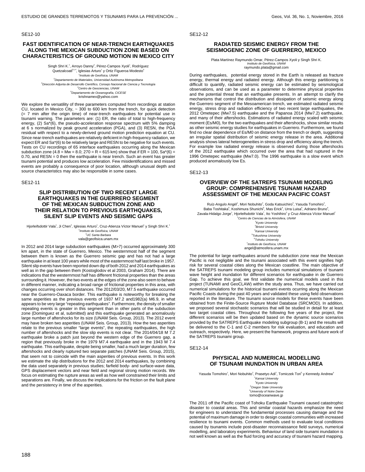#### SE12-10

# **FAST IDENTIFICATION OF NEAR-TRENCH EARTHQUAKES ALONG THE MEXICAN SUBDUCTION ZONE BASED ON CHARACTERISTICS OF GROUND MOTION IN MEXICO CITY**

Singh Shri K.<sup>1</sup>, Arroyo Danny<sup>2</sup>, Pérez-Campos Xyoli<sup>1</sup>, Rodríguez Quetzalcoatl<sup>3y4</sup>, Iglesias Arturo<sup>1</sup> y Ortiz Figueroa Modesto<sup>5</sup> Instituto de Geofísica, UNAM Departamento de Materiales, Universidad Autónoma Metropolitana Dirección Adjunta de Desarrollo Científico, Consejo Nacional de Ciencia y Tecnología Centro de Geociencias, UNAM Departamento de Oceanografía, CICESE krishnamex@yahoo.com

We explore the versatility of three parameters computed from recordings at station CU, located in Mexico City, ~ 300 to 600 km from the trench, for quick detection (= 7 min after the origin time) of near-trench earthquakes for potential use in tsunami warning. The parameters are: (1) ER, the ratio of total to high-frequency energy, (2) Sa\*(6), the pseudo-acceleration response spectrum with 5% damping at 6 s normalized by peak ground acceleration (PGA), and (3) RESN, the PGA residual with respect to a newly-derived ground motion prediction equation at CU. Since near-trench earthquakes are relatively deficient in high-frequency radiation, we expect ER and Sa\*(6) to be relatively large and RESN to be negative for such events. Tests on CU recordings of 65 interface earthquakes occurring along the Mexican subduction zone (4.8 = Mw = 8.0; 270 = R = 615 km) show that if  $ER = 100$ ,  $Sa<sup>*</sup>(6)$  = 0.70, and RESN = 0 then the earthquake is near trench. Such an event has greater tsunami potential and produces low acceleration. Few misidentifications and missed events are probably a consequence of poor location, although unusual depth and source characteristics may also be responsible in some cases.

SE12-11

#### **SLIP DISTRIBUTION OF TWO RECENT LARGE EARTHQUAKES IN THE GUERRERO SEGMENT OF THE MEXICAN SUBDUCTION ZONE AND THEIR RELATION TO PREVIOUS EARTHQUAKES, SILENT SLIP EVENTS AND SEISMIC GAPS**

Hjorleifsdottir Vala<sup>1</sup>, Ji Chen<sup>2</sup>, Iglesias Arturo<sup>1</sup>, Cruz-Atienza Víctor Manuel<sup>1</sup> y Singh Shri K.<sup>1</sup> 1 Instituto de Geofísica, UNAM <sup>2</sup>UC Santa Barbara

vala@geofisica.unam.mx

In 2012 and 2014 large subduction earthquakes (M>7) occurred approximately 300 km apart, in the state of Guerrero, Mexico. The westernmost half of the segment between them is known as the Guerrero seismic gap and has not had a large earthquake in at least 100 years while most of the easternmost half last broke in 1957. Silent slip events have been reported down dip of both 2012 and 2014 earthquakes as well as in the gap between them (Kostoglodov et al 2003, Graham 2014). There are indications that the westernmost half has different frictional properties than the areas surrounding it. However, the two events at the edges of the zone also seem to behave in different manner, indicating a broad range of frictional properties in this area, with changes occurring over short distances. The 2012/03/20, M7.5 earthquake occurred near the Guerrero-Oaxaca border. This earthquake is noteworthy for breaking the same asperities as the previous events of 1937 M7.2 and1982(a) M6.9, in what appears to be very large "repeating earthquakes". Furthermore, the density of smaller repeating events is greater in this segment than in other parts of the subduction zone (Dominguez et al, submitted) and this earthquake generated an anomalously large number of aftershocks for its size (UNAM Seis. Group, 2013). The 2012 event may have broken two asperities (UNAM Seis. Group, 2013). How the two asperities relate to the previous smaller "large events", the repeating earthquakes, the high number of aftershocks and the slow slip events is not clear. The 2014/04/18 M 7.2 earthquake broke a patch just beyond the western edge of the Guerrero gap, a region that previously broke in the 1979 M7.4 earthquake and in the 1943 M 7.4 earthquake. This earthquake, despite being smaller, had a much larger duration, few aftershocks and clearly ruptured two separate patches (UNAM Seis. Group, 2015), that seem not to coincide with the main asperities of previous events. In this work we estimate the slip distributions for the 2012 and 2014 earthquakes, by combining the data used separately in previous studies; farfield body- and surface-wave data, GPS displacement vectors and near field and regional strong motion records. We focus on estimating the rupture areas as well as how well constrained their limits and separations are. Finally, we discuss the implications for the friction on the fault plane and the persistency in time of the asperities.

# **RADIATED SEISMIC ENERGY FROM THE SEISMOGENIC ZONE OF GUERRERO, MEXICO**

Plata Martínez Raymundo Omar, Pérez-Campos Xyoli y Singh Shri K. Instituto de Geofísica, UNAM raymundo.plata@gmail.com

During earthquakes, potential energy stored in the Earth is released as fracture energy, thermal energy and radiated energy. Although this energy partitioning is difficult to quantify, radiated seismic energy can be estimated by seismological observations, and can be used as a parameter to determine physical properties and the potential threat that an earthquake presents. In an attempt to clarify the mechanisms that control the distribution and dissipation of seismic energy along the Guerrero segment of the Mesoamerican trench, we estimated radiated seismic energy, stress drop and radiation efficiency of two recent large earthquakes, the 2012 Ometepec (Mw7.5) earthquake and the Papanoa 2014 (Mw7.2) earthquake, and many of their aftershocks. Estimations of radiated energy scaled with seismic moment (Es/M0), for the two earthquakes and their aftershocks, show similar results as other seismic energy studies for earthquakes in Guerrero. Furthermore, we found find no clear dependence of Es/M0 on distance from the trench or depth, suggesting an irregular spatial distribution of seismic energy release in the area. Additional analysis shows lateral heterogeneities in stress drop and efficiency along the trench. For example low radiated energy release is observed during those aftershocks of the 2012 earthquake which occurred over the area that had ruptured in the 1996 Ometepec earthquake (Mw7.0). The 1996 earthquake is a slow event which produced anomalously low Es.

SE12-13

#### **OVERVIEW OF THE SATREPS TSUNAMI MODELING GROUP: COMPREHENSIVE TSUNAMI HAZARD ASSESSMENT OF THE MEXICAN PACIFIC COAST**

Ruíz-Angulo Angél<sup>1</sup>, Mori Nobuhito<sup>2</sup>, Goda Katsuichiro<sup>3</sup>, Yasuda Tomohiro<sup>4</sup>, Baba Toshitaka<sup>s</sup>, Koshimura Shunichi<sup>s</sup>, Mas Erick<sup>s</sup>, Urra Luisa<sup>s</sup>, Adriano Bruno<sup>s</sup>, Zavala-Hidalgo Jorge<sup>1</sup>, Hjorleifsdottir Vala<sup>7</sup>, Ito Yoshihiro<sup>2</sup> y Cruz-Atienza Víctor Manuel<sup>7</sup> <sup>1</sup>Centro de Ciencias de la Atmósfera, UNAM

> <sup>2</sup> Kyoto University <sup>3</sup> Bristol University 4 Kansai University <sup>5</sup>Tokushima University <sup>6</sup>Tohoku University 7 Instituto de Geofísica, UNAM angel@atmosfera.unam.mx

The potential for large earthquakes around the subduction zone near the Mexican Pacific is not negligible and the tsunami associated with this event signifies high risk for several coastal cities along the Mexican coastline. The main objective of the SATREPS tsunami modeling group includes numerical simulations of tsunami wave height and inundation for different scenarios for earthquake in de Guerrero Gap. To achieve this goal, we first validate the numerical models used in this project (TUNAMI and GeoCLAW) within the study area. Thus, we have carried out numerical simulations for the historical tsunami events ocurring along the Mexican Pacific Coasts during the past 40 years and validated these using field observations reported in the literature. The tsunami source models for these events have been obtained from the Finite-Source Rupture Model Database (SRCMOD). In addition, we proposed several stochastic scenarios that will be studied in detail for at least two target coastal cities. Throughout the following five years of the project, the different scenarios will be then updated based on the dynamic source scenarios provided by the SATREPS Earthquake modeling subgroup (B-1) and the results will be delivered to the C-1 and C-2 members for risk evaluation, and education and outreach, respectively. Here, we present the framework, progress and future work of the SATREPS tsunami group.

SE12-14

# **PHYSICAL AND NUMERICAL MODELLING OF TSUNAMI INUNDATION IN URBAN AREA**

Yasuda Tomohiro<sup>1</sup>, Mori Nobuhito<sup>2</sup>, Prasetyo Adi<sup>2</sup>, Tomiczek Tori<sup>3</sup> y Kennedy Andrew<sup>4</sup>

<sup>1</sup> Kansai University <sup>2</sup> Kyoto University <sup>3</sup>Oregon State University <sup>4</sup>University of Notre Dame tomo@oceanwave.jp

The 2011 off the Pacific coast of Tohoku Earthquake Tsunami caused catastrophic disaster to coastal areas. This and similar coastal hazards emphasize the need for engineers to understand the fundamental processes causing damage and the potential of maximum damage in order to design coastal communities with increased resilience to tsunami events. Common methods used to evaluate local conditions caused by tsunamis include post-disaster reconnaissance field surveys, numerical modelling, and laboratory experiments. Behaviour of land side tsunami inundation is not well known as well as the fluid forcing and accuracy of tsunami hazard mapping.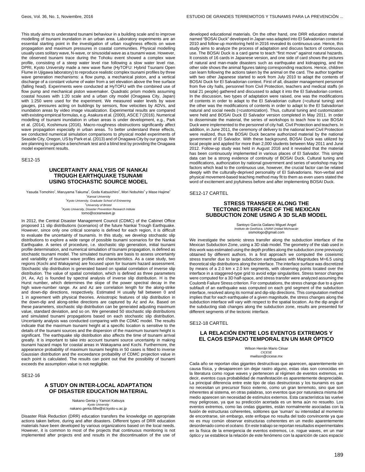This study aims to understand tsunami behaviour in a building scale and to improve modelling of tsunami inundation in an urban area. Laboratory experiments are an essential starting point in the investigation of urban roughness effects on wave propagation and maximum pressures in coastal communities. Physical modelling usually uses solitary wave, N-wave, or sinusoidal wave as a tsunami wave. However, the observed tsunami trace during the Tohoku event showed a complex wave profile, consisting of a steep water level rise following a slow water level rise. DPRI, Kyoto University made a new wave flume (HyTOFU: Hybrid Tsunami Open Flume in Ujigawa laboratory) to reproduce realistic complex tsunami profiles by three wave generation mechanisms: a flow pump, a mechanical piston, and a vertical discharge of a constant volume of water from a set elevation above the free surface (falling head). Experiments were conducted at HyTOFU with the combined use of flow pump and mechanical piston wavemaker. Quadratic prism models assuming coastal houses with 1:20 scale and a urban city model (Onagawa City, Japan) with 1:250 were used for the experiment. We measured water levels by wave gauges, pressures acting on buildings by sensors, flow velocities by ADVs, and inundation areas by video image visualization. Experimental results are compared with existing empirical formulas, e.g. Asakura et al. (2000), ASCE 7 (2016). Numerical modelling of tsunami inundation in urban areas is under development, e.g., Park et al. (2014), Koshimura (2016). Macro-roughness obstructions significantly affect wave propagation especially in urban areas. To better understand these effects, we conducted numerical simulation comparisons to physical model experiments of Seaside City, Oregon, US by Park et al. (2013) and of Onagawa City by our group. We are planning to organize a benchmark test and a blind test by providing the Onagawa model experiment results.

SE12-15

### **UNCERTAINTY ANALYSIS OF NANKAI TROUGH EARTHQUAKE TSUNAMI USING STOCHASTIC SOURCE MODEL**

Yasuda Tomohiro<sup>1</sup>, Maruyama Takuma<sup>2</sup>, Goda Katsuichiro<sup>3</sup>, Mori Nobuhito<sup>4</sup> y Mase Hajime<sup>4</sup> <sup>1</sup> Kansai University <sup>2</sup>Kyoto University, Graduate School of Enineering <sup>3</sup>University of Bristol 4 Kyoto University, Disaster Prevention Research Intitute

tomo@oceanwave.jp

In 2012, the Central Disaster Management Council (CDMC) of the Cabinet Office proposed 11 slip distributions (scenarios) of the future Nankai Trough Earthquake. However, since only one critical scenario is defined for each region, it is difficult to evaluate the uncertainty of tsunamis. In this study, we develop stochastic slip distributions to explore a wide range of possible tsunami scenarios for the Nankai Earthquake. A series of procedure, i.e. stochastic slip generation, initial tsunami profile determination, and numerical simulation of tsunami propagation, is defined as stochastic tsunami model. The simulated tsunamis are basis to assess uncertainty and variability of tsunami wave profiles and characteristics. As a case study, two regions (Kochi and Wakayama) are focused upon for tsunami hazard assessment. Stochastic slip distribution is generated based on spatial correlation of inverse slip distribution. The value of spatial correlation, which is defined as three parameters (H, Ax, Az) is founded by spectral analysis of inverse slip distribution. H is the Hurst number, which determines the slope of the power spectral decay in the high wave-number range. Ax and Az are correlation length for the along-strike and down-dip directions, respectively. Estimated H usually fall between 0 and 1 in agreement with physical theories. Anisotropic features of slip distribution in the down-dip and along-strike directions are captured by Az and Ax. Based on these parameters, stochastic slip distribution can be generated adjusting maximum value, standard deviation, and so on. We generated 50 stochastic slip distributions and simulated tsunami propagations based on each stochastic slip distribution. Uncertainty analysis was conducted comparing with the CDMC model. The results indicate that the maximum tsunami height at a specific location is sensitive to the details of the tsunami sources and the dispersion of the maximum tsunami height is significant. The earthquake slip distribution also affects the time of tsunami arrival greatly. It is important to take into account tsunami source uncertainty in making tsunami hazard maps for coastal areas in Wakayama and Kochi. Furthermore, the appearance probability of maximum tsunami heights in 50 cases is fitted to inverse Gaussian distribution and the exceedance probability of CDMC projection value in each point is calculated. The results can point out that the possibility of tsunami exceeds the assumption value is not negligible.

SE12-16

# **A STUDY ON INTER-LOCAL ADAPTATION OF DISASTER EDUCATION MATERIAL**

Nakano Genta y Yamori Katsuya Kyoto University nakano.genta.68w@st.kyoto-u.ac.jp

Disaster Risk Reduction (DRR) education transfers the knowledge on appropriate actions taken before, during and after disasters. Different types of DRR education materials have been developed by various organizations based on the local needs. However, it is common to most of the projects that continuous monitoring is not implemented after projects end and results in the discontinuation of the use of

developed educational materials. On the other hand, one DRR education material named "BOSAI Duck" developed in Japan was adapted into El Salvadorian context in 2010 and follow-up monitoring held in 2016 revealed its continuous use. Hence, this study aims to analyze the process of adaptation and discuss factors of continuous use. The BOSAI Duck is a card game to teach "first move" against natural hazards. It consists of 16 cards in Japanese version, and one side of card shows the pictures of natural and man-made disasters such as earthquake and kidnapping, and the other side shows the animal figures taking corresponding reactions. Hence, children can learn following the actions taken by the animal on the card. The author together with two other Japanese started to work from July 2010 to adapt the contents of BOSAI Duck for El Salvadorian context. First of all, disaster management personnel from five city halls, personnel from Civil Protection, teachers and medical staffs (in total 21 people) gathered and discussed to adapt it into the El Salvadorian context. In the discussion, two types of adaptation were raised, one was the modifications of contents in order to adapt to the El Salvadorian culture (=cultural tuning) and the other was the modifications of contents in order to adapt to the El Salvadorian natural and social needs (=customization). Thus, cultural tuning and customization were held and BOSAI Duck El Salvador version completed in May 2011. In order to disseminate the material, the series of workshops to teach how to use BOSAI Duck were implemented to the personnel of city hall, Civil Protection and teachers. In addition, in June 2011, the ceremony of delivery to the national level Civil Protection were realized, thus the BOSAI Duck became authorized material by the national government of El Salvador. With these background, BOSAI Duck was utilized by local people and applied for more than 2,000 students between May 2011 and June 2012. Follow-up study was held in August 2016 and it revealed that the material has been continuously implemented in various places of El Salvador. This simple data can be a strong evidence of continuity of BOSAI Duck. Cultural tuning and modifications, authorization by national government and series of workshop may be factors which lead to the continuous use, however, the crucial factor can be related deeply with the culturally-deprived personality of El Salvadorians. Non-verbal and physical movement-based teaching method may fit to them as even users stated the word of excitement and joyfulness before and after implementing BOSAI Duck.

SE12-17 CARTEL

## **STRESS TRANSFER ALONG THE TECTONIC INTERFACE OF THE MEXICAN SUBDUCTION ZONE USING A 3D SLAB MODEL**

Santoyo García Galiano Miguel Angel Instituto de Geofísica, UNAM Unidad Michoacán sismologo@gmail.com

We investigate the seismic stress transfer along the subduction interface of the Mexican Subduction Zone, using a 3D slab model. The geometry of the slab used in this work was estimated using the depth profiles along the subduction zone previously obtained by different authors. In a first approach we computed the coseismic stress transfer due to large subduction earthquakes with Magnitudes M=6.5 using theoretical slip distributions along the interface. The interface surface was discretized by means of a 2.0 km x 2.0 km segments, with observing points located over the interface in a staggered-type grid to avoid edge singularities. Stress tensor changes were computed for a 3D half-space, and stress transfer were analyzed assuming the Coulomb Failure Stress criterion. For computations, the stress change due to a given subfault of an earthquake was computed on each grid segment of the subduction interface, resolved along its normal and dip-slip directions. This computation method implies that for each earthquake of a given magnitude, the stress changes along the subduction interface will vary with respect to the spatial location. As the dip angle of the subducting slab changes along the subduction zone, results are presented for different segments of the tectonic interface.

SE12-18 CARTEL

# **LA RELACIÓN ENTRE LOS EVENTOS EXTREMOS Y EL CAOS ESPACIO TEMPORAL EN UN MAR ÓPTICO**

Wilson Herrán Mario César CICESE mwilson@cicese.mx

Cada año se reportan olas gigantes destructivas que aparecen, aparentemente sin causa física, y desaparecen sin dejar rastro alguno, estas olas son conocidas en la literatura como rogue waves y pertenecen al régimen de eventos extremos, es decir, eventos cuya probabilidad de manifestación es aparentemente despreciable. La principal diferencia entre este tipo de olas destructoras y los tsunamis es que no necesitan un precursor físico externo, como un gran terremoto, sino que son inherentes al sistema, en otras palabras, son eventos que por naturaleza misma del medio aparecen sin necesidad de estímulos externos. Esta característica las vuelve muy peligrosas, ya que su predicción acertada es un tema aún no resuelto. Los eventos extremos, como las ondas gigantes, están normalmente asociadas con la fusión de estructuras coherentes, solitones que 'suman' su intensidad al momento de encontrarse, sin embargo, este enfoque no resulta del todo convincente ya que no es muy común observar estructuras coherentes en un medio aparentemente desordenado como el océano. En este trabajo se reportan resultados experimentales en la física de la emergencia de eventos extremos, i.e. rogue waves, en un mar óptico y se establece la relación de este fenómeno con la aparición de caos espacio